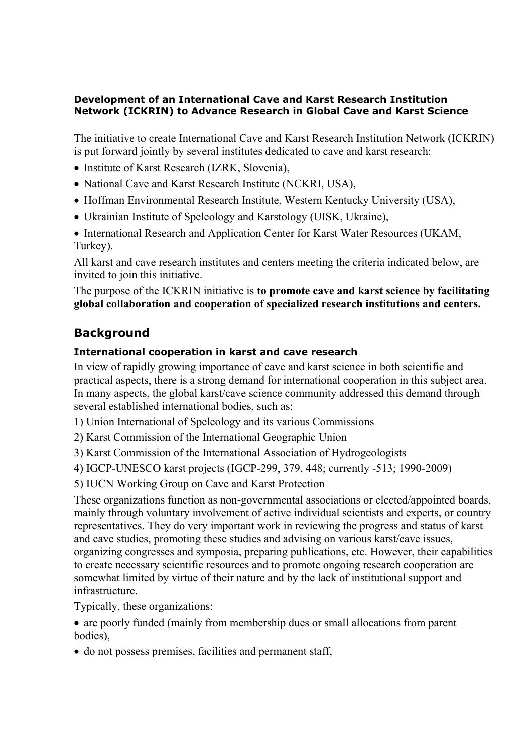#### **Development of an International Cave and Karst Research Institution Network (ICKRIN) to Advance Research in Global Cave and Karst Science**

The initiative to create International Cave and Karst Research Institution Network (ICKRIN) is put forward jointly by several institutes dedicated to cave and karst research:

- Institute of Karst Research (IZRK, Slovenia),
- National Cave and Karst Research Institute (NCKRI, USA),
- Hoffman Environmental Research Institute, Western Kentucky University (USA),
- Ukrainian Institute of Speleology and Karstology (UISK, Ukraine),
- International Research and Application Center for Karst Water Resources (UKAM, Turkey).

All karst and cave research institutes and centers meeting the criteria indicated below, are invited to join this initiative.

### The purpose of the ICKRIN initiative is **to promote cave and karst science by facilitating global collaboration and cooperation of specialized research institutions and centers.**

# **Background**

## **International cooperation in karst and cave research**

In view of rapidly growing importance of cave and karst science in both scientific and practical aspects, there is a strong demand for international cooperation in this subject area. In many aspects, the global karst/cave science community addressed this demand through several established international bodies, such as:

1) Union International of Speleology and its various Commissions

2) Karst Commission of the International Geographic Union

3) Karst Commission of the International Association of Hydrogeologists

4) IGCP-UNESCO karst projects (IGCP-299, 379, 448; currently -513; 1990-2009)

5) IUCN Working Group on Cave and Karst Protection

These organizations function as non-governmental associations or elected/appointed boards, mainly through voluntary involvement of active individual scientists and experts, or country representatives. They do very important work in reviewing the progress and status of karst and cave studies, promoting these studies and advising on various karst/cave issues, organizing congresses and symposia, preparing publications, etc. However, their capabilities to create necessary scientific resources and to promote ongoing research cooperation are somewhat limited by virtue of their nature and by the lack of institutional support and infrastructure.

Typically, these organizations:

• are poorly funded (mainly from membership dues or small allocations from parent bodies),

• do not possess premises, facilities and permanent staff,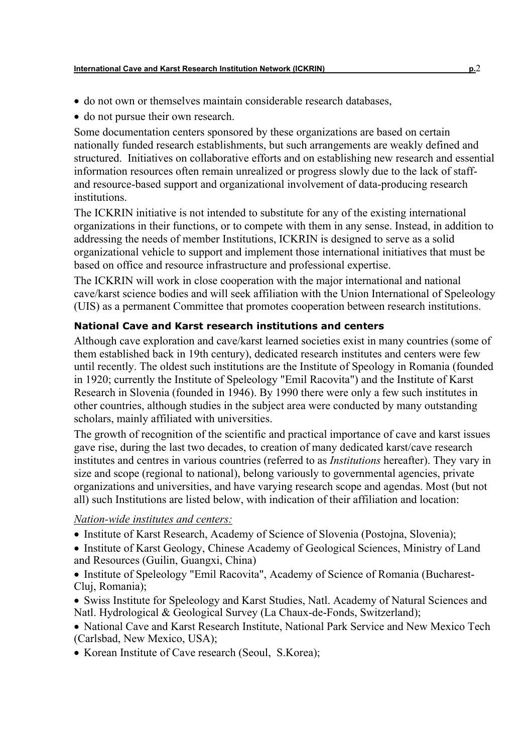- do not own or themselves maintain considerable research databases,
- do not pursue their own research.

Some documentation centers sponsored by these organizations are based on certain nationally funded research establishments, but such arrangements are weakly defined and structured. Initiatives on collaborative efforts and on establishing new research and essential information resources often remain unrealized or progress slowly due to the lack of staffand resource-based support and organizational involvement of data-producing research institutions.

The ICKRIN initiative is not intended to substitute for any of the existing international organizations in their functions, or to compete with them in any sense. Instead, in addition to addressing the needs of member Institutions, ICKRIN is designed to serve as a solid organizational vehicle to support and implement those international initiatives that must be based on office and resource infrastructure and professional expertise.

The ICKRIN will work in close cooperation with the major international and national cave/karst science bodies and will seek affiliation with the Union International of Speleology (UIS) as a permanent Committee that promotes cooperation between research institutions.

### **National Cave and Karst research institutions and centers**

Although cave exploration and cave/karst learned societies exist in many countries (some of them established back in 19th century), dedicated research institutes and centers were few until recently. The oldest such institutions are the Institute of Speology in Romania (founded in 1920; currently the Institute of Speleology "Emil Racovita") and the Institute of Karst Research in Slovenia (founded in 1946). By 1990 there were only a few such institutes in other countries, although studies in the subject area were conducted by many outstanding scholars, mainly affiliated with universities.

The growth of recognition of the scientific and practical importance of cave and karst issues gave rise, during the last two decades, to creation of many dedicated karst/cave research institutes and centres in various countries (referred to as *Institutions* hereafter). They vary in size and scope (regional to national), belong variously to governmental agencies, private organizations and universities, and have varying research scope and agendas. Most (but not all) such Institutions are listed below, with indication of their affiliation and location:

#### *Nation-wide institutes and centers:*

- Institute of Karst Research, Academy of Science of Slovenia (Postojna, Slovenia);
- Institute of Karst Geology, Chinese Academy of Geological Sciences, Ministry of Land and Resources (Guilin, Guangxi, China)
- Institute of Speleology "Emil Racovita", Academy of Science of Romania (Bucharest-Cluj, Romania);
- Swiss Institute for Speleology and Karst Studies, Natl. Academy of Natural Sciences and Natl. Hydrological & Geological Survey (La Chaux-de-Fonds, Switzerland);

• National Cave and Karst Research Institute, National Park Service and New Mexico Tech (Carlsbad, New Mexico, USA);

• Korean Institute of Cave research (Seoul, S.Korea);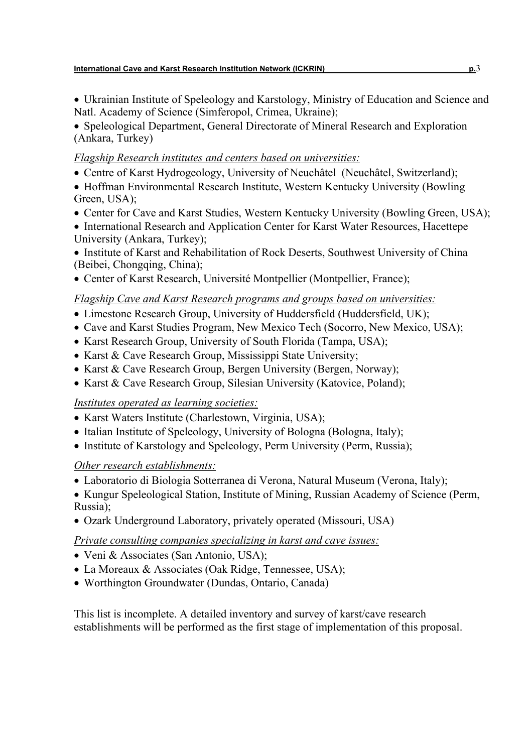• Ukrainian Institute of Speleology and Karstology, Ministry of Education and Science and Natl. Academy of Science (Simferopol, Crimea, Ukraine);

• Speleological Department, General Directorate of Mineral Research and Exploration (Ankara, Turkey)

### *Flagship Research institutes and centers based on universities:*

- Centre of Karst Hydrogeology, University of Neuchâtel (Neuchâtel, Switzerland);
- Hoffman Environmental Research Institute, Western Kentucky University (Bowling) Green, USA);
- Center for Cave and Karst Studies, Western Kentucky University (Bowling Green, USA);
- International Research and Application Center for Karst Water Resources, Hacettepe University (Ankara, Turkey);
- Institute of Karst and Rehabilitation of Rock Deserts, Southwest University of China (Beibei, Chongqing, China);
- Center of Karst Research, Université Montpellier (Montpellier, France);

## *Flagship Cave and Karst Research programs and groups based on universities:*

- Limestone Research Group, University of Huddersfield (Huddersfield, UK);
- Cave and Karst Studies Program, New Mexico Tech (Socorro, New Mexico, USA);
- Karst Research Group, University of South Florida (Tampa, USA);
- Karst & Cave Research Group, Mississippi State University;
- Karst & Cave Research Group, Bergen University (Bergen, Norway);
- Karst & Cave Research Group, Silesian University (Katovice, Poland);

# *Institutes operated as learning societies:*

- Karst Waters Institute (Charlestown, Virginia, USA);
- Italian Institute of Speleology, University of Bologna (Bologna, Italy);
- Institute of Karstology and Speleology, Perm University (Perm, Russia);

# *Other research establishments:*

• Laboratorio di Biologia Sotterranea di Verona, Natural Museum (Verona, Italy);

• Kungur Speleological Station, Institute of Mining, Russian Academy of Science (Perm, Russia);

• Ozark Underground Laboratory, privately operated (Missouri, USA)

# *Private consulting companies specializing in karst and cave issues:*

- Veni & Associates (San Antonio, USA);
- La Moreaux & Associates (Oak Ridge, Tennessee, USA);
- Worthington Groundwater (Dundas, Ontario, Canada)

This list is incomplete. A detailed inventory and survey of karst/cave research establishments will be performed as the first stage of implementation of this proposal.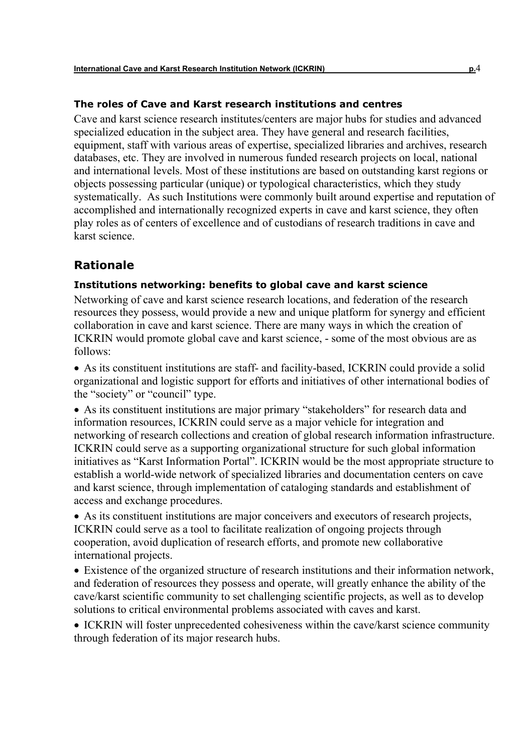#### **The roles of Cave and Karst research institutions and centres**

Cave and karst science research institutes/centers are major hubs for studies and advanced specialized education in the subject area. They have general and research facilities, equipment, staff with various areas of expertise, specialized libraries and archives, research databases, etc. They are involved in numerous funded research projects on local, national and international levels. Most of these institutions are based on outstanding karst regions or objects possessing particular (unique) or typological characteristics, which they study systematically. As such Institutions were commonly built around expertise and reputation of accomplished and internationally recognized experts in cave and karst science, they often play roles as of centers of excellence and of custodians of research traditions in cave and karst science.

# **Rationale**

#### **Institutions networking: benefits to global cave and karst science**

Networking of cave and karst science research locations, and federation of the research resources they possess, would provide a new and unique platform for synergy and efficient collaboration in cave and karst science. There are many ways in which the creation of ICKRIN would promote global cave and karst science, - some of the most obvious are as follows:

• As its constituent institutions are staff- and facility-based, ICKRIN could provide a solid organizational and logistic support for efforts and initiatives of other international bodies of the "society" or "council" type.

• As its constituent institutions are major primary "stakeholders" for research data and information resources, ICKRIN could serve as a major vehicle for integration and networking of research collections and creation of global research information infrastructure. ICKRIN could serve as a supporting organizational structure for such global information initiatives as "Karst Information Portal". ICKRIN would be the most appropriate structure to establish a world-wide network of specialized libraries and documentation centers on cave and karst science, through implementation of cataloging standards and establishment of access and exchange procedures.

• As its constituent institutions are major conceivers and executors of research projects, ICKRIN could serve as a tool to facilitate realization of ongoing projects through cooperation, avoid duplication of research efforts, and promote new collaborative international projects.

• Existence of the organized structure of research institutions and their information network, and federation of resources they possess and operate, will greatly enhance the ability of the cave/karst scientific community to set challenging scientific projects, as well as to develop solutions to critical environmental problems associated with caves and karst.

• ICKRIN will foster unprecedented cohesiveness within the cave/karst science community through federation of its major research hubs.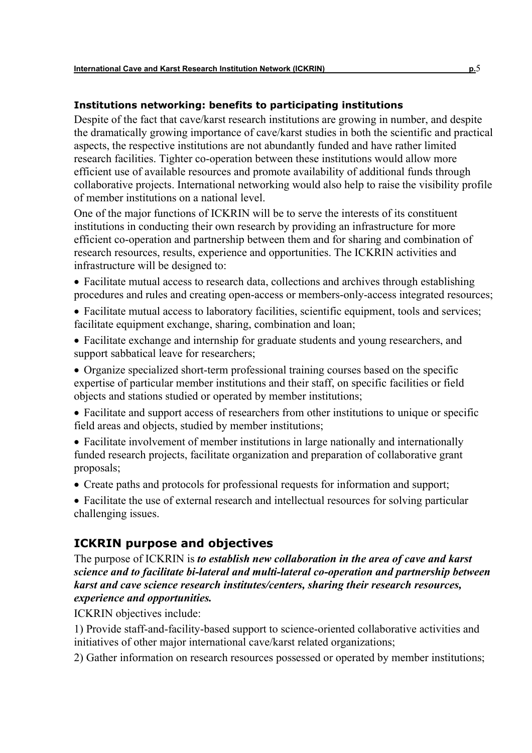#### **Institutions networking: benefits to participating institutions**

Despite of the fact that cave/karst research institutions are growing in number, and despite the dramatically growing importance of cave/karst studies in both the scientific and practical aspects, the respective institutions are not abundantly funded and have rather limited research facilities. Tighter co-operation between these institutions would allow more efficient use of available resources and promote availability of additional funds through collaborative projects. International networking would also help to raise the visibility profile of member institutions on a national level.

One of the major functions of ICKRIN will be to serve the interests of its constituent institutions in conducting their own research by providing an infrastructure for more efficient co-operation and partnership between them and for sharing and combination of research resources, results, experience and opportunities. The ICKRIN activities and infrastructure will be designed to:

- Facilitate mutual access to research data, collections and archives through establishing procedures and rules and creating open-access or members-only-access integrated resources;
- Facilitate mutual access to laboratory facilities, scientific equipment, tools and services; facilitate equipment exchange, sharing, combination and loan;
- Facilitate exchange and internship for graduate students and young researchers, and support sabbatical leave for researchers;
- Organize specialized short-term professional training courses based on the specific expertise of particular member institutions and their staff, on specific facilities or field objects and stations studied or operated by member institutions;
- Facilitate and support access of researchers from other institutions to unique or specific field areas and objects, studied by member institutions;
- Facilitate involvement of member institutions in large nationally and internationally funded research projects, facilitate organization and preparation of collaborative grant proposals;
- Create paths and protocols for professional requests for information and support;
- Facilitate the use of external research and intellectual resources for solving particular challenging issues.

### **ICKRIN purpose and objectives**

The purpose of ICKRIN is *to establish new collaboration in the area of cave and karst science and to facilitate bi-lateral and multi-lateral co-operation and partnership between karst and cave science research institutes/centers, sharing their research resources, experience and opportunities.*

ICKRIN objectives include:

1) Provide staff-and-facility-based support to science-oriented collaborative activities and initiatives of other major international cave/karst related organizations;

2) Gather information on research resources possessed or operated by member institutions;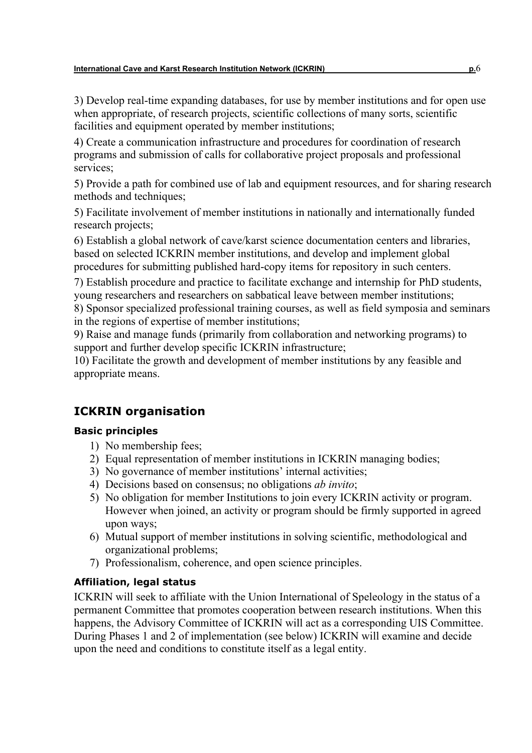3) Develop real-time expanding databases, for use by member institutions and for open use when appropriate, of research projects, scientific collections of many sorts, scientific facilities and equipment operated by member institutions;

4) Create a communication infrastructure and procedures for coordination of research programs and submission of calls for collaborative project proposals and professional services;

5) Provide a path for combined use of lab and equipment resources, and for sharing research methods and techniques;

5) Facilitate involvement of member institutions in nationally and internationally funded research projects;

6) Establish a global network of cave/karst science documentation centers and libraries, based on selected ICKRIN member institutions, and develop and implement global procedures for submitting published hard-copy items for repository in such centers.

7) Establish procedure and practice to facilitate exchange and internship for PhD students, young researchers and researchers on sabbatical leave between member institutions;

8) Sponsor specialized professional training courses, as well as field symposia and seminars in the regions of expertise of member institutions;

9) Raise and manage funds (primarily from collaboration and networking programs) to support and further develop specific ICKRIN infrastructure;

10) Facilitate the growth and development of member institutions by any feasible and appropriate means.

# **ICKRIN organisation**

### **Basic principles**

- 1) No membership fees;
- 2) Equal representation of member institutions in ICKRIN managing bodies;
- 3) No governance of member institutions' internal activities;
- 4) Decisions based on consensus; no obligations *ab invito*;
- 5) No obligation for member Institutions to join every ICKRIN activity or program. However when joined, an activity or program should be firmly supported in agreed upon ways;
- 6) Mutual support of member institutions in solving scientific, methodological and organizational problems;
- 7) Professionalism, coherence, and open science principles.

### **Affiliation, legal status**

ICKRIN will seek to affiliate with the Union International of Speleology in the status of a permanent Committee that promotes cooperation between research institutions. When this happens, the Advisory Committee of ICKRIN will act as a corresponding UIS Committee. During Phases 1 and 2 of implementation (see below) ICKRIN will examine and decide upon the need and conditions to constitute itself as a legal entity.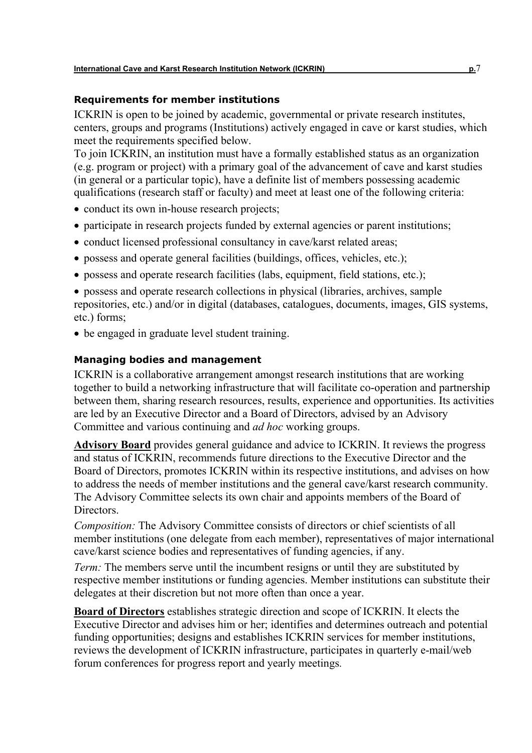#### **Requirements for member institutions**

ICKRIN is open to be joined by academic, governmental or private research institutes, centers, groups and programs (Institutions) actively engaged in cave or karst studies, which meet the requirements specified below.

To join ICKRIN, an institution must have a formally established status as an organization (e.g. program or project) with a primary goal of the advancement of cave and karst studies (in general or a particular topic), have a definite list of members possessing academic qualifications (research staff or faculty) and meet at least one of the following criteria:

- conduct its own in-house research projects;
- participate in research projects funded by external agencies or parent institutions;
- conduct licensed professional consultancy in cave/karst related areas;
- possess and operate general facilities (buildings, offices, vehicles, etc.);
- possess and operate research facilities (labs, equipment, field stations, etc.);

• possess and operate research collections in physical (libraries, archives, sample repositories, etc.) and/or in digital (databases, catalogues, documents, images, GIS systems, etc.) forms;

• be engaged in graduate level student training.

## **Managing bodies and management**

ICKRIN is a collaborative arrangement amongst research institutions that are working together to build a networking infrastructure that will facilitate co-operation and partnership between them, sharing research resources, results, experience and opportunities. Its activities are led by an Executive Director and a Board of Directors, advised by an Advisory Committee and various continuing and *ad hoc* working groups.

**Advisory Board** provides general guidance and advice to ICKRIN. It reviews the progress and status of ICKRIN, recommends future directions to the Executive Director and the Board of Directors, promotes ICKRIN within its respective institutions, and advises on how to address the needs of member institutions and the general cave/karst research community. The Advisory Committee selects its own chair and appoints members of the Board of **Directors** 

*Composition:* The Advisory Committee consists of directors or chief scientists of all member institutions (one delegate from each member), representatives of major international cave/karst science bodies and representatives of funding agencies, if any.

*Term:* The members serve until the incumbent resigns or until they are substituted by respective member institutions or funding agencies. Member institutions can substitute their delegates at their discretion but not more often than once a year.

**Board of Directors** establishes strategic direction and scope of ICKRIN. It elects the Executive Director and advises him or her; identifies and determines outreach and potential funding opportunities; designs and establishes ICKRIN services for member institutions, reviews the development of ICKRIN infrastructure, participates in quarterly e-mail/web forum conferences for progress report and yearly meetings.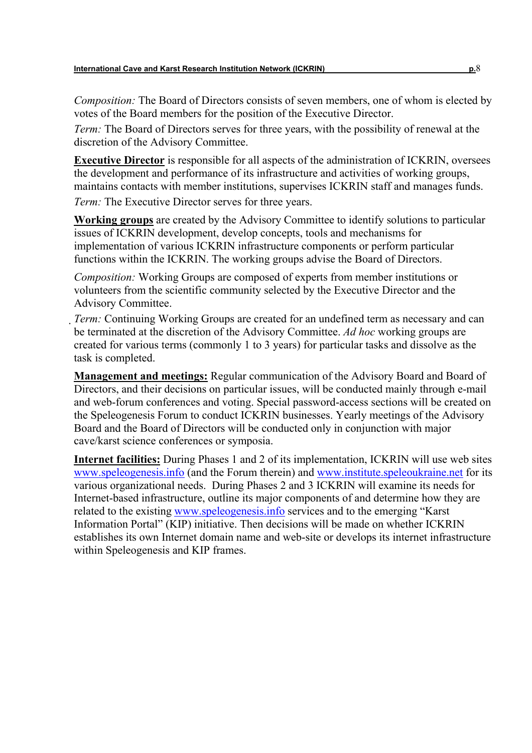*Composition:* The Board of Directors consists of seven members, one of whom is elected by votes of the Board members for the position of the Executive Director.

*Term:* The Board of Directors serves for three years, with the possibility of renewal at the discretion of the Advisory Committee.

**Executive Director** is responsible for all aspects of the administration of ICKRIN, oversees the development and performance of its infrastructure and activities of working groups, maintains contacts with member institutions, supervises ICKRIN staff and manages funds. *Term:* The Executive Director serves for three years.

**Working groups** are created by the Advisory Committee to identify solutions to particular issues of ICKRIN development, develop concepts, tools and mechanisms for implementation of various ICKRIN infrastructure components or perform particular functions within the ICKRIN. The working groups advise the Board of Directors.

*Composition:* Working Groups are composed of experts from member institutions or volunteers from the scientific community selected by the Executive Director and the Advisory Committee.

*Term:* Continuing Working Groups are created for an undefined term as necessary and can be terminated at the discretion of the Advisory Committee. *Ad hoc* working groups are created for various terms (commonly 1 to 3 years) for particular tasks and dissolve as the task is completed.

**Management and meetings:** Regular communication of the Advisory Board and Board of Directors, and their decisions on particular issues, will be conducted mainly through e-mail and web-forum conferences and voting. Special password-access sections will be created on the Speleogenesis Forum to conduct ICKRIN businesses. Yearly meetings of the Advisory Board and the Board of Directors will be conducted only in conjunction with major cave/karst science conferences or symposia.

**Internet facilities:** During Phases 1 and 2 of its implementation, ICKRIN will use web sites www.speleogenesis.info (and the Forum therein) and www.institute.speleoukraine.net for its various organizational needs. During Phases 2 and 3 ICKRIN will examine its needs for Internet-based infrastructure, outline its major components of and determine how they are related to the existing www.speleogenesis.info services and to the emerging "Karst Information Portal" (KIP) initiative. Then decisions will be made on whether ICKRIN establishes its own Internet domain name and web-site or develops its internet infrastructure within Speleogenesis and KIP frames.